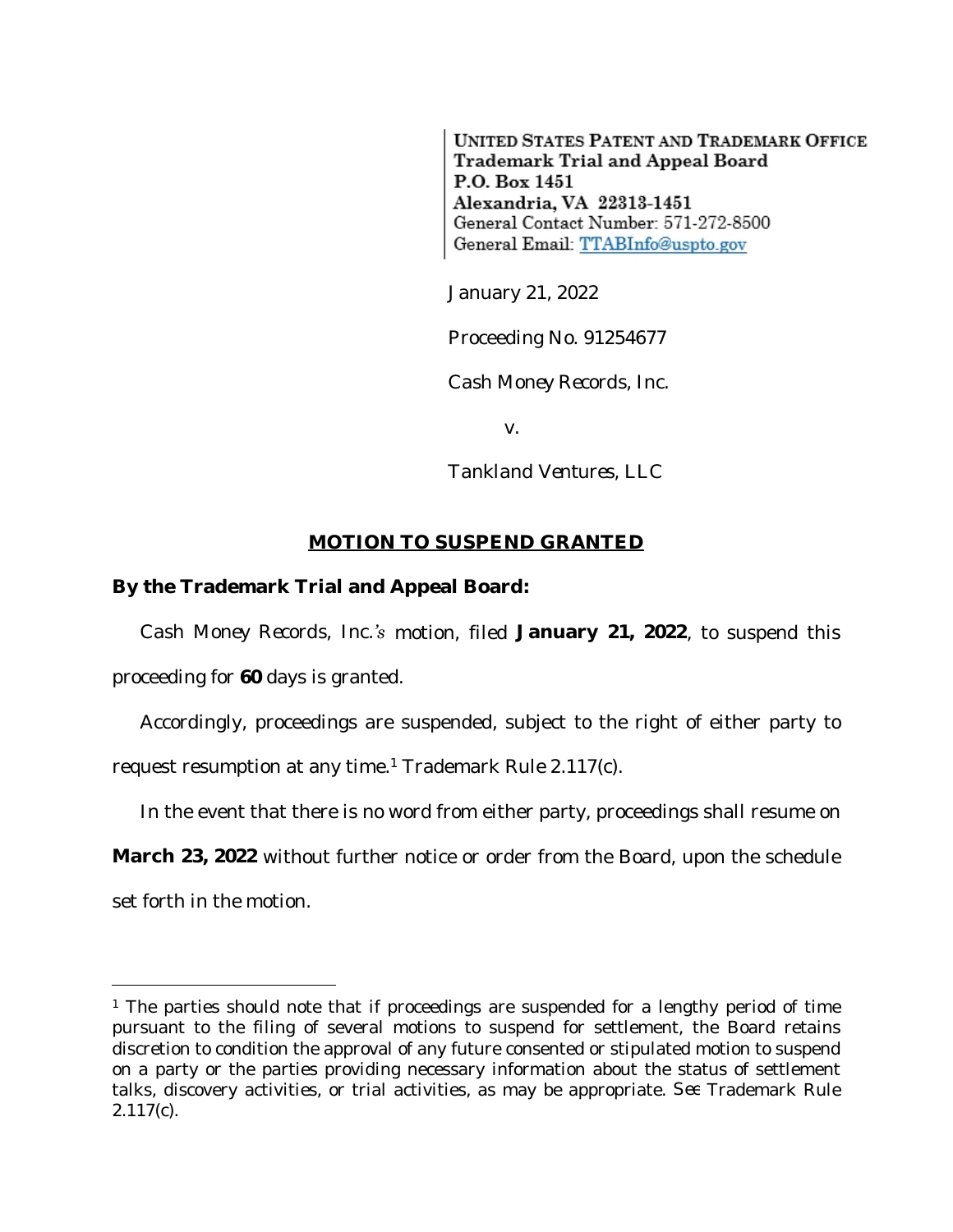**UNITED STATES PATENT AND TRADEMARK OFFICE** Trademark Trial and Appeal Board P.O. Box 1451 Alexandria, VA 22313-1451 General Contact Number: 571-272-8500 General Email: TTABInfo@uspto.gov

January 21, 2022

Proceeding No. 91254677

*Cash Money Records, Inc.*

v.

*Tankland Ventures, LLC*

## **MOTION TO SUSPEND GRANTED**

## **By the Trademark Trial and Appeal Board:**

*Cash Money Records, Inc.'s* motion, filed **January 21, 2022**, to suspend this proceeding for **60** days is granted.

Accordingly, proceedings are suspended, subject to the right of either party to request resumption at any time.<sup>1</sup> Trademark Rule 2.117(c).

In the event that there is no word from either party, proceedings shall resume on

**March 23, 2022** without further notice or order from the Board, upon the schedule

set forth in the motion.

<sup>&</sup>lt;sup>1</sup> The parties should note that if proceedings are suspended for a lengthy period of time pursuant to the filing of several motions to suspend for settlement, the Board retains discretion to condition the approval of any future consented or stipulated motion to suspend on a party or the parties providing necessary information about the status of settlement talks, discovery activities, or trial activities, as may be appropriate. *See* Trademark Rule 2.117(c).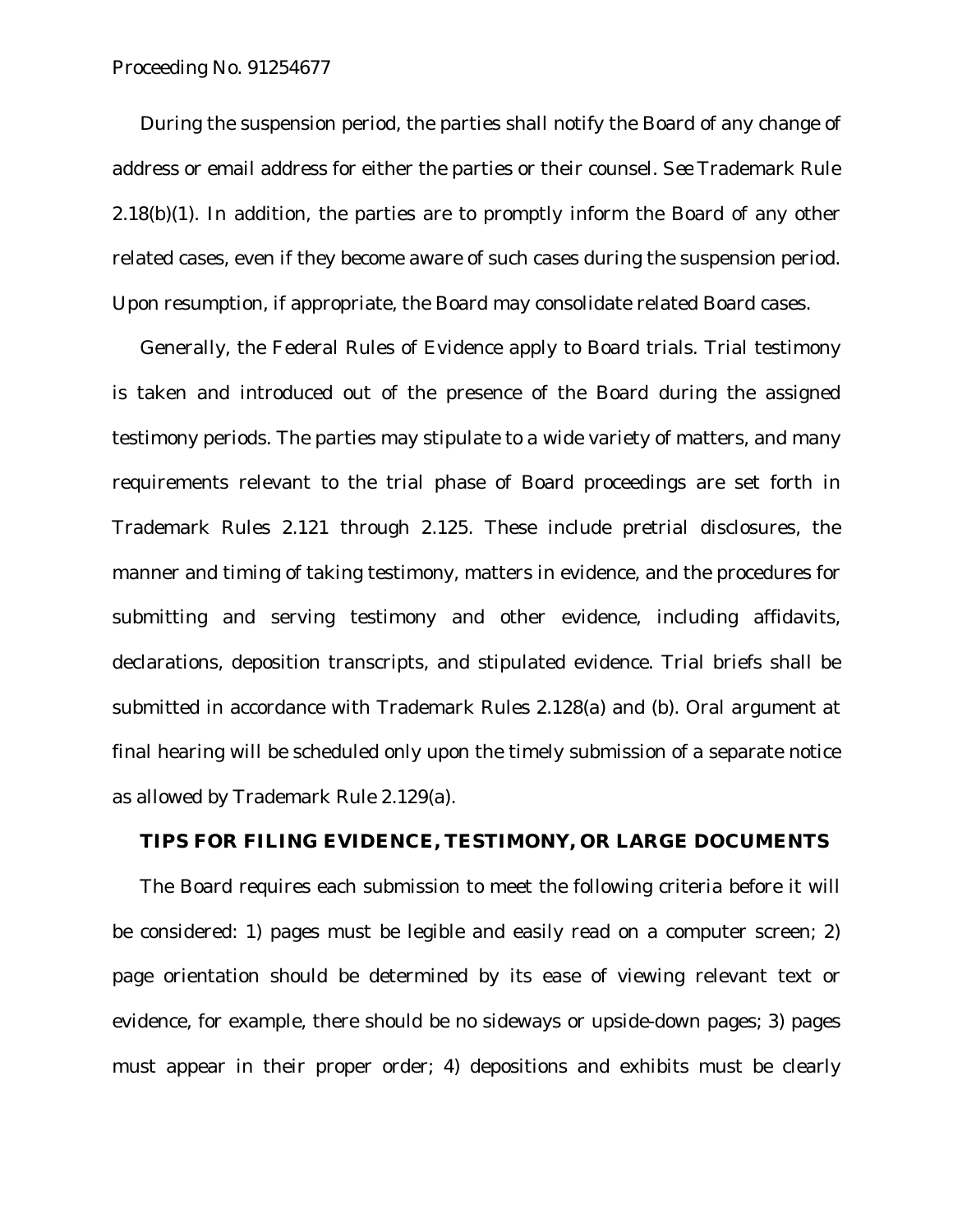Proceeding No. 91254677

During the suspension period, the parties shall notify the Board of any change of address or email address for either the parties or their counsel. *See* Trademark Rule  $2.18(b)(1)$ . In addition, the parties are to promptly inform the Board of any other related cases, even if they become aware of such cases during the suspension period. Upon resumption, if appropriate, the Board may consolidate related Board cases.

Generally, the Federal Rules of Evidence apply to Board trials. Trial testimony is taken and introduced out of the presence of the Board during the assigned testimony periods. The parties may stipulate to a wide variety of matters, and many requirements relevant to the trial phase of Board proceedings are set forth in Trademark Rules 2.121 through 2.125. These include pretrial disclosures, the manner and timing of taking testimony, matters in evidence, and the procedures for submitting and serving testimony and other evidence, including affidavits, declarations, deposition transcripts, and stipulated evidence. Trial briefs shall be submitted in accordance with Trademark Rules 2.128(a) and (b). Oral argument at final hearing will be scheduled only upon the timely submission of a separate notice as allowed by Trademark Rule 2.129(a).

## **TIPS FOR FILING EVIDENCE, TESTIMONY, OR LARGE DOCUMENTS**

The Board requires each submission to meet the following criteria before it will be considered: 1) pages must be legible and easily read on a computer screen; 2) page orientation should be determined by its ease of viewing relevant text or evidence, for example, there should be no sideways or upside-down pages; 3) pages must appear in their proper order; 4) depositions and exhibits must be clearly